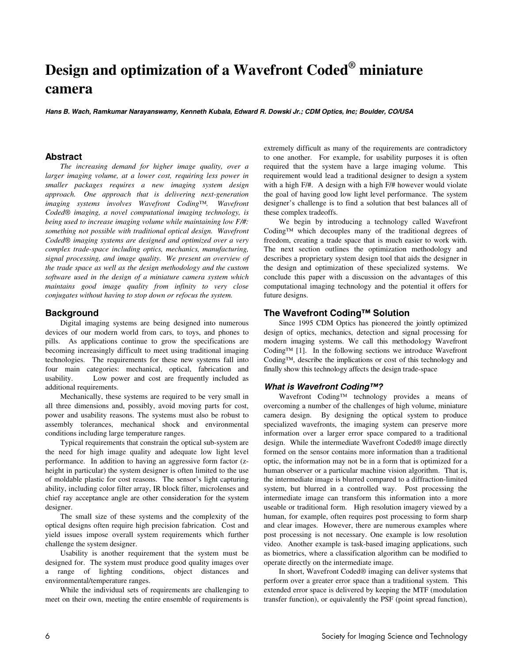# **Design and optimization of a Wavefront Coded® miniature camera**

**Hans B. Wach, Ramkumar Narayanswamy, Kenneth Kubala, Edward R. Dowski Jr.; CDM Optics, Inc; Boulder, CO/USA** 

## **Abstract**

*The increasing demand for higher image quality, over a larger imaging volume, at a lower cost, requiring less power in smaller packages requires a new imaging system design approach. One approach that is delivering next-generation imaging systems involves Wavefront Coding™. Wavefront Coded® imaging, a novel computational imaging technology, is being used to increase imaging volume while maintaining low F/#: something not possible with traditional optical design. Wavefront Coded® imaging systems are designed and optimized over a very complex trade-space including optics, mechanics, manufacturing, signal processing, and image quality. We present an overview of the trade space as well as the design methodology and the custom software used in the design of a miniature camera system which maintains good image quality from infinity to very close conjugates without having to stop down or refocus the system.* 

## **Background**

Digital imaging systems are being designed into numerous devices of our modern world from cars, to toys, and phones to pills. As applications continue to grow the specifications are becoming increasingly difficult to meet using traditional imaging technologies. The requirements for these new systems fall into four main categories: mechanical, optical, fabrication and usability. Low power and cost are frequently included as additional requirements.

Mechanically, these systems are required to be very small in all three dimensions and, possibly, avoid moving parts for cost, power and usability reasons. The systems must also be robust to assembly tolerances, mechanical shock and environmental conditions including large temperature ranges.

Typical requirements that constrain the optical sub-system are the need for high image quality and adequate low light level performance. In addition to having an aggressive form factor (zheight in particular) the system designer is often limited to the use of moldable plastic for cost reasons. The sensor's light capturing ability, including color filter array, IR block filter, microlenses and chief ray acceptance angle are other consideration for the system designer.

The small size of these systems and the complexity of the optical designs often require high precision fabrication. Cost and yield issues impose overall system requirements which further challenge the system designer.

Usability is another requirement that the system must be designed for. The system must produce good quality images over a range of lighting conditions, object distances and environmental/temperature ranges.

While the individual sets of requirements are challenging to meet on their own, meeting the entire ensemble of requirements is extremely difficult as many of the requirements are contradictory to one another. For example, for usability purposes it is often required that the system have a large imaging volume. This requirement would lead a traditional designer to design a system with a high F/#. A design with a high F/# however would violate the goal of having good low light level performance. The system designer's challenge is to find a solution that best balances all of these complex tradeoffs.

We begin by introducing a technology called Wavefront Coding™ which decouples many of the traditional degrees of freedom, creating a trade space that is much easier to work with. The next section outlines the optimization methodology and describes a proprietary system design tool that aids the designer in the design and optimization of these specialized systems. We conclude this paper with a discussion on the advantages of this computational imaging technology and the potential it offers for future designs.

# **The Wavefront Coding™ Solution**

Since 1995 CDM Optics has pioneered the jointly optimized design of optics, mechanics, detection and signal processing for modern imaging systems. We call this methodology Wavefront Coding™ [1]. In the following sections we introduce Wavefront Coding™, describe the implications or cost of this technology and finally show this technology affects the design trade-space

### **What is Wavefront Coding™?**

Wavefront Coding™ technology provides a means of overcoming a number of the challenges of high volume, miniature camera design. By designing the optical system to produce specialized wavefronts, the imaging system can preserve more information over a larger error space compared to a traditional design. While the intermediate Wavefront Coded® image directly formed on the sensor contains more information than a traditional optic, the information may not be in a form that is optimized for a human observer or a particular machine vision algorithm. That is, the intermediate image is blurred compared to a diffraction-limited system, but blurred in a controlled way. Post processing the intermediate image can transform this information into a more useable or traditional form. High resolution imagery viewed by a human, for example, often requires post processing to form sharp and clear images. However, there are numerous examples where post processing is not necessary. One example is low resolution video. Another example is task-based imaging applications, such as biometrics, where a classification algorithm can be modified to operate directly on the intermediate image.

In short, Wavefront Coded® imaging can deliver systems that perform over a greater error space than a traditional system. This extended error space is delivered by keeping the MTF (modulation transfer function), or equivalently the PSF (point spread function),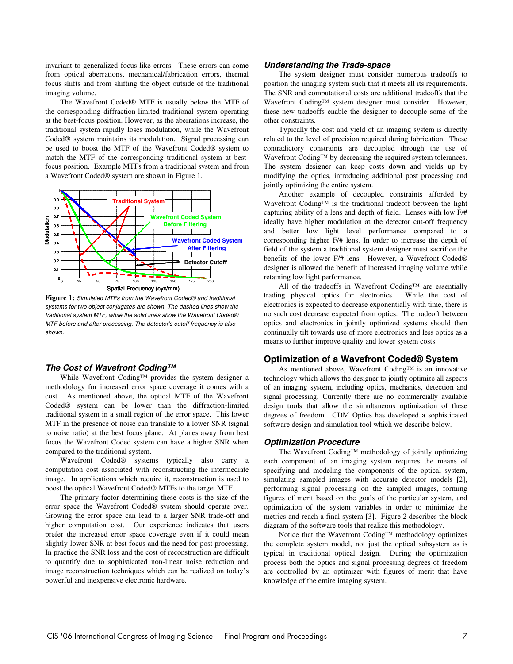from optical aberrations, mechanical/fabrication errors, thermal focus shifts and from shifting the object outside of the traditional imaging volume.

The Wavefront Coded® MTF is usually below the MTF of the corresponding diffraction-limited traditional system operating at the best-focus position. However, as the aberrations increase, the traditional system rapidly loses modulation, while the Wavefront Coded® system maintains its modulation. Signal processing can be used to boost the MTF of the Wavefront Coded® system to match the MTF of the corresponding traditional system at bestfocus position. Example MTFs from a traditional system and from a Wavefront Coded® system are shown in Figure 1.



**Figure 1:** Simulated MTFs from the Wavefront Coded® and traditional systems for two object conjugates are shown. The dashed lines show the traditional system MTF, while the solid lines show the Wavefront Coded® MTF before and after processing. The detector's cutoff frequency is also shown.

### **The Cost of Wavefront Coding™**

While Wavefront Coding™ provides the system designer a methodology for increased error space coverage it comes with a cost. As mentioned above, the optical MTF of the Wavefront Coded® system can be lower than the diffraction-limited traditional system in a small region of the error space. This lower MTF in the presence of noise can translate to a lower SNR (signal to noise ratio) at the best focus plane. At planes away from best focus the Wavefront Coded system can have a higher SNR when compared to the traditional system.

Wavefront Coded® systems typically also carry a computation cost associated with reconstructing the intermediate image. In applications which require it, reconstruction is used to boost the optical Wavefront Coded® MTFs to the target MTF.

The primary factor determining these costs is the size of the error space the Wavefront Coded® system should operate over. Growing the error space can lead to a larger SNR trade-off and higher computation cost. Our experience indicates that users prefer the increased error space coverage even if it could mean slightly lower SNR at best focus and the need for post processing. In practice the SNR loss and the cost of reconstruction are difficult to quantify due to sophisticated non-linear noise reduction and image reconstruction techniques which can be realized on today's powerful and inexpensive electronic hardware.

#### **Understanding the Trade-space**

The system designer must consider numerous tradeoffs to position the imaging system such that it meets all its requirements. The SNR and computational costs are additional tradeoffs that the Wavefront Coding™ system designer must consider. However, these new tradeoffs enable the designer to decouple some of the other constraints.

Typically the cost and yield of an imaging system is directly related to the level of precision required during fabrication. These contradictory constraints are decoupled through the use of Wavefront Coding™ by decreasing the required system tolerances. The system designer can keep costs down and yields up by modifying the optics, introducing additional post processing and jointly optimizing the entire system.

Another example of decoupled constraints afforded by Wavefront Coding™ is the traditional tradeoff between the light capturing ability of a lens and depth of field. Lenses with low F/# ideally have higher modulation at the detector cut-off frequency and better low light level performance compared to a corresponding higher F/# lens. In order to increase the depth of field of the system a traditional system designer must sacrifice the benefits of the lower F/# lens. However, a Wavefront Coded® designer is allowed the benefit of increased imaging volume while retaining low light performance.

All of the tradeoffs in Wavefront Coding™ are essentially trading physical optics for electronics. While the cost of electronics is expected to decrease exponentially with time, there is no such cost decrease expected from optics. The tradeoff between optics and electronics in jointly optimized systems should then continually tilt towards use of more electronics and less optics as a means to further improve quality and lower system costs.

#### **Optimization of a Wavefront Coded® System**

As mentioned above, Wavefront Coding™ is an innovative technology which allows the designer to jointly optimize all aspects of an imaging system, including optics, mechanics, detection and signal processing. Currently there are no commercially available design tools that allow the simultaneous optimization of these degrees of freedom. CDM Optics has developed a sophisticated software design and simulation tool which we describe below.

#### **Optimization Procedure**

The Wavefront Coding™ methodology of jointly optimizing each component of an imaging system requires the means of specifying and modeling the components of the optical system, simulating sampled images with accurate detector models [2], performing signal processing on the sampled images, forming figures of merit based on the goals of the particular system, and optimization of the system variables in order to minimize the metrics and reach a final system [3]. Figure 2 describes the block diagram of the software tools that realize this methodology.

Notice that the Wavefront Coding™ methodology optimizes the complete system model, not just the optical subsystem as is typical in traditional optical design. During the optimization process both the optics and signal processing degrees of freedom are controlled by an optimizer with figures of merit that have knowledge of the entire imaging system.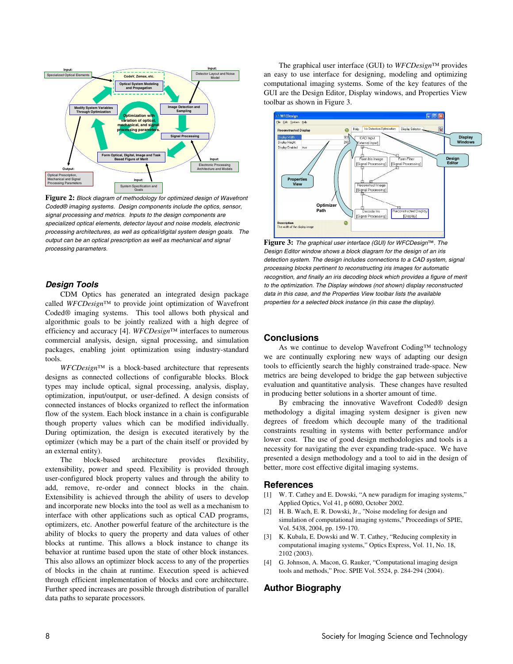

**Figure 2:** Block diagram of methodology for optimized design of Wavefront Coded® imaging systems. Design components include the optics, sensor, signal processing and metrics. Inputs to the design components are specialized optical elements, detector layout and noise models, electronic processing architectures, as well as optical/digital system design goals. The output can be an optical prescription as well as mechanical and signal processing parameters.

### **Design Tools**

CDM Optics has generated an integrated design package called *WFCDesign™* to provide joint optimization of Wavefront Coded® imaging systems. This tool allows both physical and algorithmic goals to be jointly realized with a high degree of efficiency and accuracy [4]. *WFCDesign™* interfaces to numerous commercial analysis, design, signal processing, and simulation packages, enabling joint optimization using industry-standard tools.

*WFCDesign™* is a block-based architecture that represents designs as connected collections of configurable blocks. Block types may include optical, signal processing, analysis, display, optimization, input/output, or user-defined. A design consists of connected instances of blocks organized to reflect the information flow of the system. Each block instance in a chain is configurable though property values which can be modified individually. During optimization, the design is executed iteratively by the optimizer (which may be a part of the chain itself or provided by an external entity).

The block-based architecture provides flexibility, extensibility, power and speed. Flexibility is provided through user-configured block property values and through the ability to add, remove, re-order and connect blocks in the chain. Extensibility is achieved through the ability of users to develop and incorporate new blocks into the tool as well as a mechanism to interface with other applications such as optical CAD programs, optimizers, etc. Another powerful feature of the architecture is the ability of blocks to query the property and data values of other blocks at runtime. This allows a block instance to change its behavior at runtime based upon the state of other block instances. This also allows an optimizer block access to any of the properties of blocks in the chain at runtime. Execution speed is achieved through efficient implementation of blocks and core architecture. Further speed increases are possible through distribution of parallel data paths to separate processors.

The graphical user interface (GUI) to *WFCDesign™* provides an easy to use interface for designing, modeling and optimizing computational imaging systems. Some of the key features of the GUI are the Design Editor, Display windows, and Properties View toolbar as shown in Figure 3.



**Figure 3:** The graphical user interface (GUI) for WFCDesign™. The Design Editor window shows a block diagram for the design of an iris detection system. The design includes connections to a CAD system, signal processing blocks pertinent to reconstructing iris images for automatic recognition, and finally an iris decoding block which provides a figure of merit to the optimization. The Display windows (not shown) display reconstructed data in this case, and the Properties View toolbar lists the available properties for a selected block instance (in this case the display).

#### **Conclusions**

As we continue to develop Wavefront Coding™ technology we are continually exploring new ways of adapting our design tools to efficiently search the highly constrained trade-space. New metrics are being developed to bridge the gap between subjective evaluation and quantitative analysis. These changes have resulted in producing better solutions in a shorter amount of time.

By embracing the innovative Wavefront Coded® design methodology a digital imaging system designer is given new degrees of freedom which decouple many of the traditional constraints resulting in systems with better performance and/or lower cost. The use of good design methodologies and tools is a necessity for navigating the ever expanding trade-space. We have presented a design methodology and a tool to aid in the design of better, more cost effective digital imaging systems.

#### **References**

- [1] W. T. Cathey and E. Dowski, "A new paradigm for imaging systems," Applied Optics, Vol 41, p 6080, October 2002.
- [2] H. B. Wach, E. R. Dowski, Jr., "Noise modeling for design and simulation of computational imaging systems," Proceedings of SPIE, Vol. 5438, 2004, pp. 159-170.
- [3] K. Kubala, E. Dowski and W. T. Cathey, "Reducing complexity in computational imaging systems," Optics Express, Vol. 11, No. 18, 2102 (2003).
- [4] G. Johnson, A. Macon, G. Rauker, "Computational imaging design tools and methods," Proc. SPIE Vol. 5524, p. 284-294 (2004).

# **Author Biography**